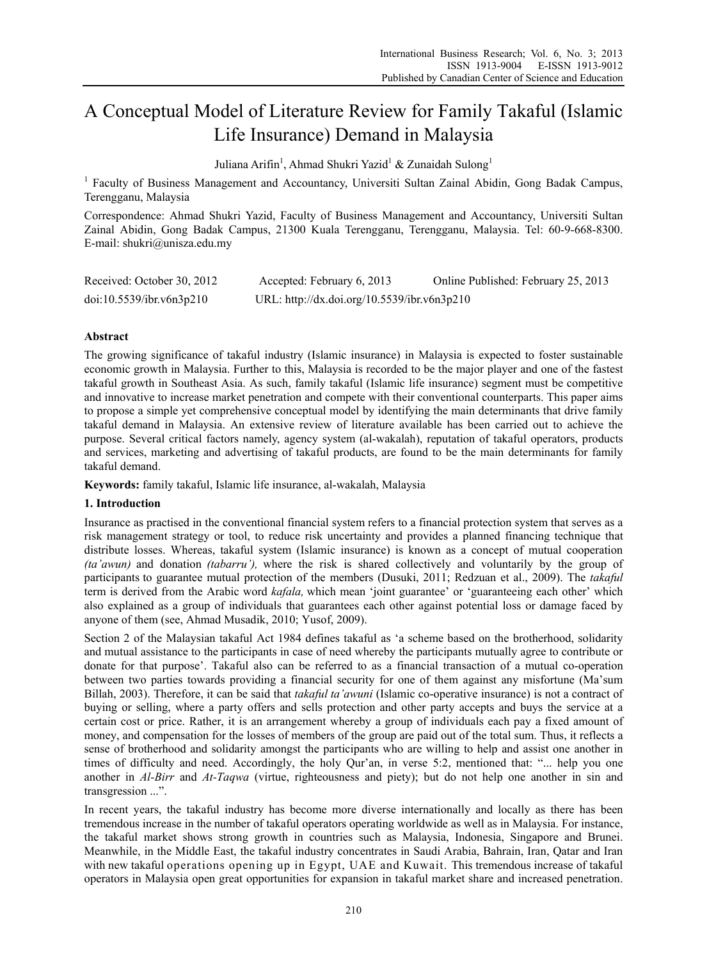# A Conceptual Model of Literature Review for Family Takaful (Islamic Life Insurance) Demand in Malaysia

Juliana Arifin<sup>1</sup>, Ahmad Shukri Yazid<sup>1</sup> & Zunaidah Sulong<sup>1</sup>

<sup>1</sup> Faculty of Business Management and Accountancy, Universiti Sultan Zainal Abidin, Gong Badak Campus, Terengganu, Malaysia

Correspondence: Ahmad Shukri Yazid, Faculty of Business Management and Accountancy, Universiti Sultan Zainal Abidin, Gong Badak Campus, 21300 Kuala Terengganu, Terengganu, Malaysia. Tel: 60-9-668-8300. E-mail: shukri@unisza.edu.my

| Received: October 30, 2012 | Accepted: February 6, 2013                  | Online Published: February 25, 2013 |
|----------------------------|---------------------------------------------|-------------------------------------|
| doi:10.5539/ibr.v6n3p210   | URL: http://dx.doi.org/10.5539/ibr.v6n3p210 |                                     |

# **Abstract**

The growing significance of takaful industry (Islamic insurance) in Malaysia is expected to foster sustainable economic growth in Malaysia. Further to this, Malaysia is recorded to be the major player and one of the fastest takaful growth in Southeast Asia. As such, family takaful (Islamic life insurance) segment must be competitive and innovative to increase market penetration and compete with their conventional counterparts. This paper aims to propose a simple yet comprehensive conceptual model by identifying the main determinants that drive family takaful demand in Malaysia. An extensive review of literature available has been carried out to achieve the purpose. Several critical factors namely, agency system (al-wakalah), reputation of takaful operators, products and services, marketing and advertising of takaful products, are found to be the main determinants for family takaful demand.

**Keywords:** family takaful, Islamic life insurance, al-wakalah, Malaysia

## **1. Introduction**

Insurance as practised in the conventional financial system refers to a financial protection system that serves as a risk management strategy or tool, to reduce risk uncertainty and provides a planned financing technique that distribute losses. Whereas, takaful system (Islamic insurance) is known as a concept of mutual cooperation *(ta'awun)* and donation *(tabarru'),* where the risk is shared collectively and voluntarily by the group of participants to guarantee mutual protection of the members (Dusuki, 2011; Redzuan et al., 2009). The *takaful* term is derived from the Arabic word *kafala,* which mean 'joint guarantee' or 'guaranteeing each other' which also explained as a group of individuals that guarantees each other against potential loss or damage faced by anyone of them (see, Ahmad Musadik, 2010; Yusof, 2009).

Section 2 of the Malaysian takaful Act 1984 defines takaful as 'a scheme based on the brotherhood, solidarity and mutual assistance to the participants in case of need whereby the participants mutually agree to contribute or donate for that purpose'. Takaful also can be referred to as a financial transaction of a mutual co-operation between two parties towards providing a financial security for one of them against any misfortune (Ma'sum Billah, 2003). Therefore, it can be said that *takaful ta'awuni* (Islamic co-operative insurance) is not a contract of buying or selling, where a party offers and sells protection and other party accepts and buys the service at a certain cost or price. Rather, it is an arrangement whereby a group of individuals each pay a fixed amount of money, and compensation for the losses of members of the group are paid out of the total sum. Thus, it reflects a sense of brotherhood and solidarity amongst the participants who are willing to help and assist one another in times of difficulty and need. Accordingly, the holy Qur'an, in verse 5:2, mentioned that: "... help you one another in *Al-Birr* and *At-Taqwa* (virtue, righteousness and piety); but do not help one another in sin and transgression ...".

In recent years, the takaful industry has become more diverse internationally and locally as there has been tremendous increase in the number of takaful operators operating worldwide as well as in Malaysia. For instance, the takaful market shows strong growth in countries such as Malaysia, Indonesia, Singapore and Brunei. Meanwhile, in the Middle East, the takaful industry concentrates in Saudi Arabia, Bahrain, Iran, Qatar and Iran with new takaful operations opening up in Egypt, UAE and Kuwait. This tremendous increase of takaful operators in Malaysia open great opportunities for expansion in takaful market share and increased penetration.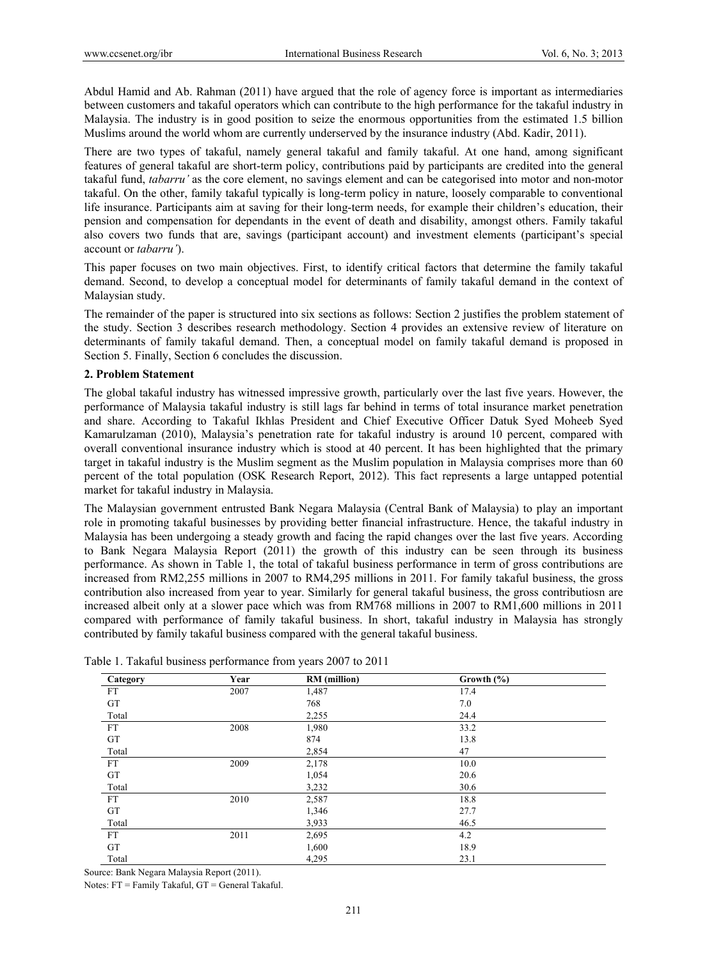Abdul Hamid and Ab. Rahman (2011) have argued that the role of agency force is important as intermediaries between customers and takaful operators which can contribute to the high performance for the takaful industry in Malaysia. The industry is in good position to seize the enormous opportunities from the estimated 1.5 billion Muslims around the world whom are currently underserved by the insurance industry (Abd. Kadir, 2011).

There are two types of takaful, namely general takaful and family takaful. At one hand, among significant features of general takaful are short-term policy, contributions paid by participants are credited into the general takaful fund, *tabarru'* as the core element, no savings element and can be categorised into motor and non-motor takaful. On the other, family takaful typically is long-term policy in nature, loosely comparable to conventional life insurance. Participants aim at saving for their long-term needs, for example their children's education, their pension and compensation for dependants in the event of death and disability, amongst others. Family takaful also covers two funds that are, savings (participant account) and investment elements (participant's special account or *tabarru'*).

This paper focuses on two main objectives. First, to identify critical factors that determine the family takaful demand. Second, to develop a conceptual model for determinants of family takaful demand in the context of Malaysian study.

The remainder of the paper is structured into six sections as follows: Section 2 justifies the problem statement of the study. Section 3 describes research methodology. Section 4 provides an extensive review of literature on determinants of family takaful demand. Then, a conceptual model on family takaful demand is proposed in Section 5. Finally, Section 6 concludes the discussion.

#### **2. Problem Statement**

The global takaful industry has witnessed impressive growth, particularly over the last five years. However, the performance of Malaysia takaful industry is still lags far behind in terms of total insurance market penetration and share. According to Takaful Ikhlas President and Chief Executive Officer Datuk Syed Moheeb Syed Kamarulzaman (2010), Malaysia's penetration rate for takaful industry is around 10 percent, compared with overall conventional insurance industry which is stood at 40 percent. It has been highlighted that the primary target in takaful industry is the Muslim segment as the Muslim population in Malaysia comprises more than 60 percent of the total population (OSK Research Report, 2012). This fact represents a large untapped potential market for takaful industry in Malaysia.

The Malaysian government entrusted Bank Negara Malaysia (Central Bank of Malaysia) to play an important role in promoting takaful businesses by providing better financial infrastructure. Hence, the takaful industry in Malaysia has been undergoing a steady growth and facing the rapid changes over the last five years. According to Bank Negara Malaysia Report (2011) the growth of this industry can be seen through its business performance. As shown in Table 1, the total of takaful business performance in term of gross contributions are increased from RM2,255 millions in 2007 to RM4,295 millions in 2011. For family takaful business, the gross contribution also increased from year to year. Similarly for general takaful business, the gross contributiosn are increased albeit only at a slower pace which was from RM768 millions in 2007 to RM1,600 millions in 2011 compared with performance of family takaful business. In short, takaful industry in Malaysia has strongly contributed by family takaful business compared with the general takaful business.

| Category  | Year | <b>RM</b> (million) | Growth $(\% )$ |  |
|-----------|------|---------------------|----------------|--|
| <b>FT</b> | 2007 | 1,487               | 17.4           |  |
| GT        |      | 768                 | 7.0            |  |
| Total     |      | 2,255               | 24.4           |  |
| <b>FT</b> | 2008 | 1,980               | 33.2           |  |
| GT        |      | 874                 | 13.8           |  |
| Total     |      | 2,854               | 47             |  |
| <b>FT</b> | 2009 | 2,178               | 10.0           |  |
| GT        |      | 1,054               | 20.6           |  |
| Total     |      | 3,232               | 30.6           |  |
| <b>FT</b> | 2010 | 2,587               | 18.8           |  |
| GT        |      | 1,346               | 27.7           |  |
| Total     |      | 3,933               | 46.5           |  |
| FT        | 2011 | 2,695               | 4.2            |  |
| GT        |      | 1,600               | 18.9           |  |
| Total     |      | 4,295               | 23.1           |  |

Table 1. Takaful business performance from years 2007 to 2011

Source: Bank Negara Malaysia Report (2011).

Notes: FT = Family Takaful, GT = General Takaful.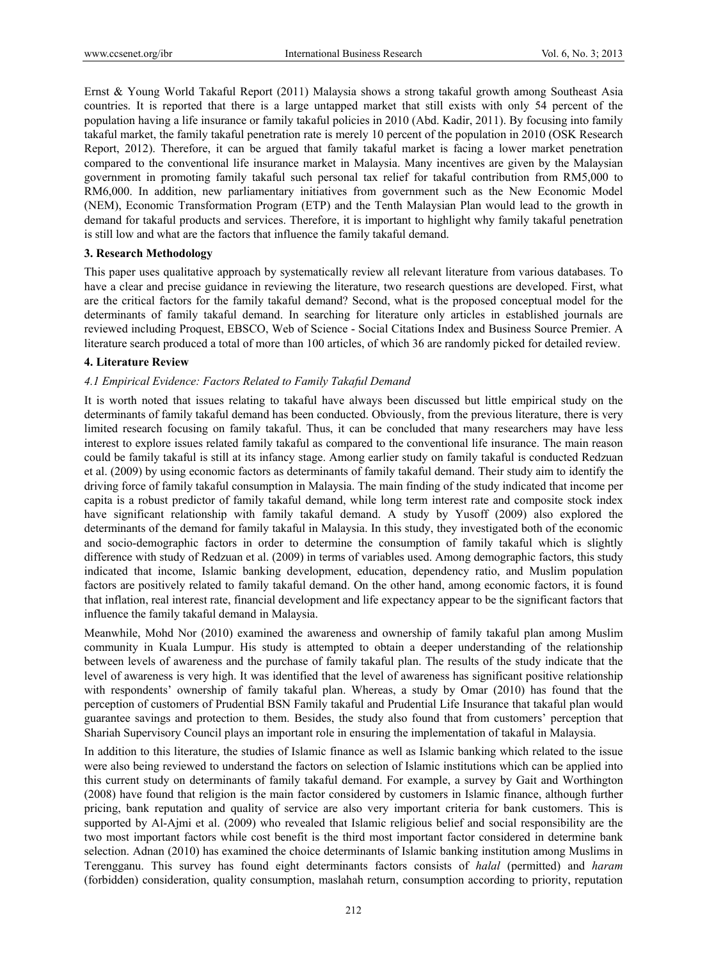Ernst & Young World Takaful Report (2011) Malaysia shows a strong takaful growth among Southeast Asia countries. It is reported that there is a large untapped market that still exists with only 54 percent of the population having a life insurance or family takaful policies in 2010 (Abd. Kadir, 2011). By focusing into family takaful market, the family takaful penetration rate is merely 10 percent of the population in 2010 (OSK Research Report, 2012). Therefore, it can be argued that family takaful market is facing a lower market penetration compared to the conventional life insurance market in Malaysia. Many incentives are given by the Malaysian government in promoting family takaful such personal tax relief for takaful contribution from RM5,000 to RM6,000. In addition, new parliamentary initiatives from government such as the New Economic Model (NEM), Economic Transformation Program (ETP) and the Tenth Malaysian Plan would lead to the growth in demand for takaful products and services. Therefore, it is important to highlight why family takaful penetration is still low and what are the factors that influence the family takaful demand.

#### **3. Research Methodology**

This paper uses qualitative approach by systematically review all relevant literature from various databases. To have a clear and precise guidance in reviewing the literature, two research questions are developed. First, what are the critical factors for the family takaful demand? Second, what is the proposed conceptual model for the determinants of family takaful demand. In searching for literature only articles in established journals are reviewed including Proquest, EBSCO, Web of Science - Social Citations Index and Business Source Premier. A literature search produced a total of more than 100 articles, of which 36 are randomly picked for detailed review.

#### **4. Literature Review**

#### *4.1 Empirical Evidence: Factors Related to Family Takaful Demand*

It is worth noted that issues relating to takaful have always been discussed but little empirical study on the determinants of family takaful demand has been conducted. Obviously, from the previous literature, there is very limited research focusing on family takaful. Thus, it can be concluded that many researchers may have less interest to explore issues related family takaful as compared to the conventional life insurance. The main reason could be family takaful is still at its infancy stage. Among earlier study on family takaful is conducted Redzuan et al. (2009) by using economic factors as determinants of family takaful demand. Their study aim to identify the driving force of family takaful consumption in Malaysia. The main finding of the study indicated that income per capita is a robust predictor of family takaful demand, while long term interest rate and composite stock index have significant relationship with family takaful demand. A study by Yusoff (2009) also explored the determinants of the demand for family takaful in Malaysia. In this study, they investigated both of the economic and socio-demographic factors in order to determine the consumption of family takaful which is slightly difference with study of Redzuan et al. (2009) in terms of variables used. Among demographic factors, this study indicated that income, Islamic banking development, education, dependency ratio, and Muslim population factors are positively related to family takaful demand. On the other hand, among economic factors, it is found that inflation, real interest rate, financial development and life expectancy appear to be the significant factors that influence the family takaful demand in Malaysia.

Meanwhile, Mohd Nor (2010) examined the awareness and ownership of family takaful plan among Muslim community in Kuala Lumpur. His study is attempted to obtain a deeper understanding of the relationship between levels of awareness and the purchase of family takaful plan. The results of the study indicate that the level of awareness is very high. It was identified that the level of awareness has significant positive relationship with respondents' ownership of family takaful plan. Whereas, a study by Omar (2010) has found that the perception of customers of Prudential BSN Family takaful and Prudential Life Insurance that takaful plan would guarantee savings and protection to them. Besides, the study also found that from customers' perception that Shariah Supervisory Council plays an important role in ensuring the implementation of takaful in Malaysia.

In addition to this literature, the studies of Islamic finance as well as Islamic banking which related to the issue were also being reviewed to understand the factors on selection of Islamic institutions which can be applied into this current study on determinants of family takaful demand. For example, a survey by Gait and Worthington (2008) have found that religion is the main factor considered by customers in Islamic finance, although further pricing, bank reputation and quality of service are also very important criteria for bank customers. This is supported by Al-Ajmi et al. (2009) who revealed that Islamic religious belief and social responsibility are the two most important factors while cost benefit is the third most important factor considered in determine bank selection. Adnan (2010) has examined the choice determinants of Islamic banking institution among Muslims in Terengganu. This survey has found eight determinants factors consists of *halal* (permitted) and *haram*  (forbidden) consideration, quality consumption, maslahah return, consumption according to priority, reputation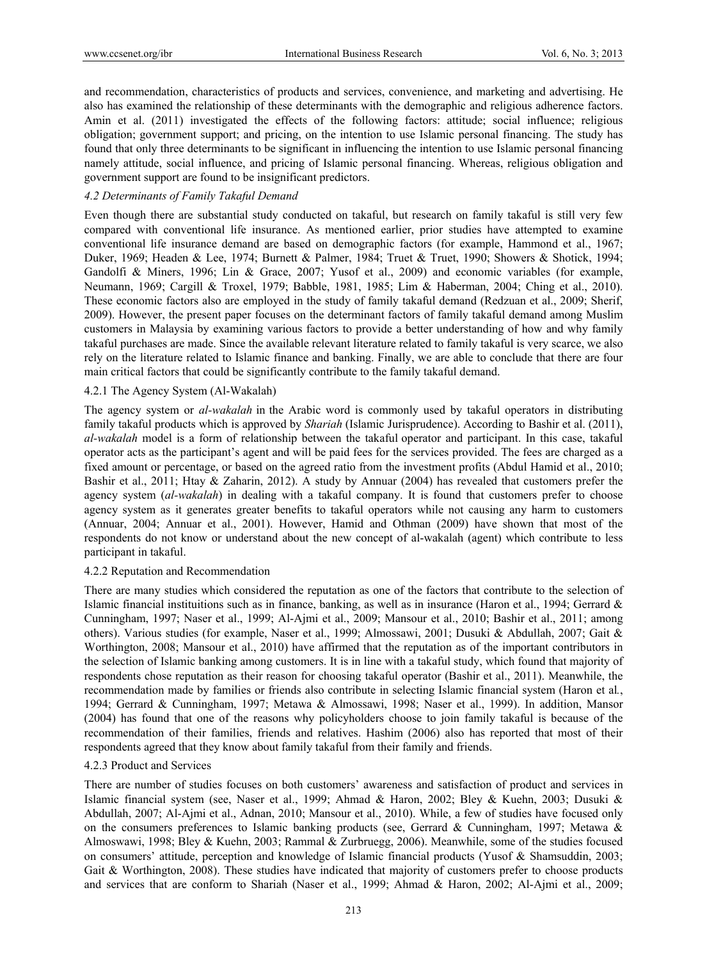and recommendation, characteristics of products and services, convenience, and marketing and advertising. He also has examined the relationship of these determinants with the demographic and religious adherence factors. Amin et al. (2011) investigated the effects of the following factors: attitude; social influence; religious obligation; government support; and pricing, on the intention to use Islamic personal financing. The study has found that only three determinants to be significant in influencing the intention to use Islamic personal financing namely attitude, social influence, and pricing of Islamic personal financing. Whereas, religious obligation and government support are found to be insignificant predictors.

## *4.2 Determinants of Family Takaful Demand*

Even though there are substantial study conducted on takaful, but research on family takaful is still very few compared with conventional life insurance. As mentioned earlier, prior studies have attempted to examine conventional life insurance demand are based on demographic factors (for example, Hammond et al., 1967; Duker, 1969; Headen & Lee, 1974; Burnett & Palmer, 1984; Truet & Truet, 1990; Showers & Shotick, 1994; Gandolfi & Miners, 1996; Lin & Grace, 2007; Yusof et al., 2009) and economic variables (for example, Neumann, 1969; Cargill & Troxel, 1979; Babble, 1981, 1985; Lim & Haberman, 2004; Ching et al., 2010). These economic factors also are employed in the study of family takaful demand (Redzuan et al., 2009; Sherif, 2009). However, the present paper focuses on the determinant factors of family takaful demand among Muslim customers in Malaysia by examining various factors to provide a better understanding of how and why family takaful purchases are made. Since the available relevant literature related to family takaful is very scarce, we also rely on the literature related to Islamic finance and banking. Finally, we are able to conclude that there are four main critical factors that could be significantly contribute to the family takaful demand.

#### 4.2.1 The Agency System (Al-Wakalah)

The agency system or *al-wakalah* in the Arabic word is commonly used by takaful operators in distributing family takaful products which is approved by *Shariah* (Islamic Jurisprudence). According to Bashir et al. (2011), *al-wakalah* model is a form of relationship between the takaful operator and participant. In this case, takaful operator acts as the participant's agent and will be paid fees for the services provided. The fees are charged as a fixed amount or percentage, or based on the agreed ratio from the investment profits (Abdul Hamid et al., 2010; Bashir et al., 2011; Htay & Zaharin, 2012). A study by Annuar (2004) has revealed that customers prefer the agency system (*al-wakalah*) in dealing with a takaful company. It is found that customers prefer to choose agency system as it generates greater benefits to takaful operators while not causing any harm to customers (Annuar, 2004; Annuar et al., 2001). However, Hamid and Othman (2009) have shown that most of the respondents do not know or understand about the new concept of al-wakalah (agent) which contribute to less participant in takaful.

#### 4.2.2 Reputation and Recommendation

There are many studies which considered the reputation as one of the factors that contribute to the selection of Islamic financial instituitions such as in finance, banking, as well as in insurance (Haron et al., 1994; Gerrard & Cunningham, 1997; Naser et al., 1999; Al-Ajmi et al., 2009; Mansour et al., 2010; Bashir et al., 2011; among others). Various studies (for example, Naser et al., 1999; Almossawi, 2001; Dusuki & Abdullah, 2007; Gait & Worthington, 2008; Mansour et al., 2010) have affirmed that the reputation as of the important contributors in the selection of Islamic banking among customers. It is in line with a takaful study, which found that majority of respondents chose reputation as their reason for choosing takaful operator (Bashir et al., 2011). Meanwhile, the recommendation made by families or friends also contribute in selecting Islamic financial system (Haron et al*.*, 1994; Gerrard & Cunningham, 1997; Metawa & Almossawi, 1998; Naser et al., 1999). In addition, Mansor (2004) has found that one of the reasons why policyholders choose to join family takaful is because of the recommendation of their families, friends and relatives. Hashim (2006) also has reported that most of their respondents agreed that they know about family takaful from their family and friends.

#### 4.2.3 Product and Services

There are number of studies focuses on both customers' awareness and satisfaction of product and services in Islamic financial system (see, Naser et al., 1999; Ahmad & Haron, 2002; Bley & Kuehn, 2003; Dusuki & Abdullah, 2007; Al-Ajmi et al., Adnan, 2010; Mansour et al., 2010). While, a few of studies have focused only on the consumers preferences to Islamic banking products (see, Gerrard & Cunningham, 1997; Metawa & Almoswawi, 1998; Bley & Kuehn, 2003; Rammal & Zurbruegg, 2006). Meanwhile, some of the studies focused on consumers' attitude, perception and knowledge of Islamic financial products (Yusof & Shamsuddin, 2003; Gait & Worthington, 2008). These studies have indicated that majority of customers prefer to choose products and services that are conform to Shariah (Naser et al., 1999; Ahmad & Haron, 2002; Al-Ajmi et al., 2009;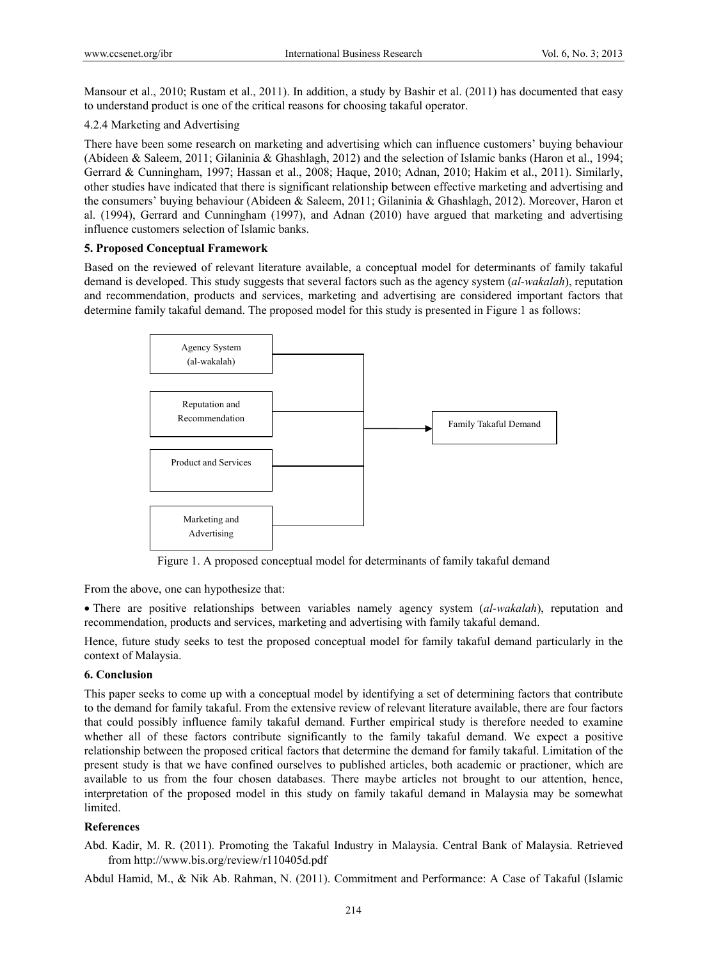Mansour et al., 2010; Rustam et al., 2011). In addition, a study by Bashir et al. (2011) has documented that easy to understand product is one of the critical reasons for choosing takaful operator.

## 4.2.4 Marketing and Advertising

There have been some research on marketing and advertising which can influence customers' buying behaviour (Abideen & Saleem, 2011; Gilaninia & Ghashlagh, 2012) and the selection of Islamic banks (Haron et al., 1994; Gerrard & Cunningham, 1997; Hassan et al., 2008; Haque, 2010; Adnan, 2010; Hakim et al., 2011). Similarly, other studies have indicated that there is significant relationship between effective marketing and advertising and the consumers' buying behaviour (Abideen & Saleem, 2011; Gilaninia & Ghashlagh, 2012). Moreover, Haron et al. (1994), Gerrard and Cunningham (1997), and Adnan (2010) have argued that marketing and advertising influence customers selection of Islamic banks.

#### **5. Proposed Conceptual Framework**

Based on the reviewed of relevant literature available, a conceptual model for determinants of family takaful demand is developed. This study suggests that several factors such as the agency system (*al-wakalah*), reputation and recommendation, products and services, marketing and advertising are considered important factors that determine family takaful demand. The proposed model for this study is presented in Figure 1 as follows:



Figure 1. A proposed conceptual model for determinants of family takaful demand

From the above, one can hypothesize that:

 There are positive relationships between variables namely agency system (*al-wakalah*), reputation and recommendation, products and services, marketing and advertising with family takaful demand.

Hence, future study seeks to test the proposed conceptual model for family takaful demand particularly in the context of Malaysia.

## **6. Conclusion**

This paper seeks to come up with a conceptual model by identifying a set of determining factors that contribute to the demand for family takaful. From the extensive review of relevant literature available, there are four factors that could possibly influence family takaful demand. Further empirical study is therefore needed to examine whether all of these factors contribute significantly to the family takaful demand. We expect a positive relationship between the proposed critical factors that determine the demand for family takaful. Limitation of the present study is that we have confined ourselves to published articles, both academic or practioner, which are available to us from the four chosen databases. There maybe articles not brought to our attention, hence, interpretation of the proposed model in this study on family takaful demand in Malaysia may be somewhat **limited** 

#### **References**

Abd. Kadir, M. R. (2011). Promoting the Takaful Industry in Malaysia. Central Bank of Malaysia. Retrieved from http://www.bis.org/review/r110405d.pdf

Abdul Hamid, M., & Nik Ab. Rahman, N. (2011). Commitment and Performance: A Case of Takaful (Islamic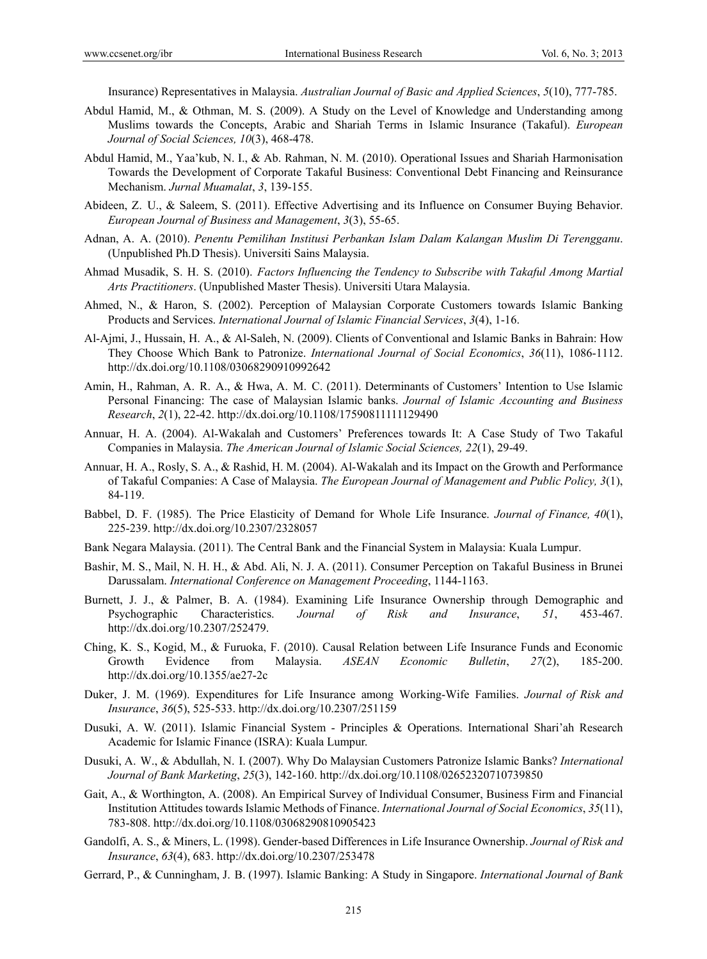Insurance) Representatives in Malaysia. *Australian Journal of Basic and Applied Sciences*, *5*(10), 777-785.

- Abdul Hamid, M., & Othman, M. S. (2009). A Study on the Level of Knowledge and Understanding among Muslims towards the Concepts, Arabic and Shariah Terms in Islamic Insurance (Takaful). *European Journal of Social Sciences, 10*(3), 468-478.
- Abdul Hamid, M., Yaa'kub, N. I., & Ab. Rahman, N. M. (2010). Operational Issues and Shariah Harmonisation Towards the Development of Corporate Takaful Business: Conventional Debt Financing and Reinsurance Mechanism. *Jurnal Muamalat*, *3*, 139-155.
- Abideen, Z. U., & Saleem, S. (2011). Effective Advertising and its Influence on Consumer Buying Behavior. *European Journal of Business and Management*, *3*(3), 55-65.
- Adnan, A. A. (2010). *Penentu Pemilihan Institusi Perbankan Islam Dalam Kalangan Muslim Di Terengganu*. (Unpublished Ph.D Thesis). Universiti Sains Malaysia.
- Ahmad Musadik, S. H. S. (2010). *Factors Influencing the Tendency to Subscribe with Takaful Among Martial Arts Practitioners*. (Unpublished Master Thesis). Universiti Utara Malaysia.
- Ahmed, N., & Haron, S. (2002). Perception of Malaysian Corporate Customers towards Islamic Banking Products and Services. *International Journal of Islamic Financial Services*, *3*(4), 1-16.
- Al-Ajmi, J., Hussain, H. A., & Al-Saleh, N. (2009). Clients of Conventional and Islamic Banks in Bahrain: How They Choose Which Bank to Patronize. *International Journal of Social Economics*, *36*(11), 1086-1112. http://dx.doi.org/10.1108/03068290910992642
- Amin, H., Rahman, A. R. A., & Hwa, A. M. C. (2011). Determinants of Customers' Intention to Use Islamic Personal Financing: The case of Malaysian Islamic banks. *Journal of Islamic Accounting and Business Research*, *2*(1), 22-42. http://dx.doi.org/10.1108/17590811111129490
- Annuar, H. A. (2004). Al-Wakalah and Customers' Preferences towards It: A Case Study of Two Takaful Companies in Malaysia. *The American Journal of Islamic Social Sciences, 22*(1), 29-49.
- Annuar, H. A., Rosly, S. A., & Rashid, H. M. (2004). Al-Wakalah and its Impact on the Growth and Performance of Takaful Companies: A Case of Malaysia. *The European Journal of Management and Public Policy, 3*(1), 84-119.
- Babbel, D. F. (1985). The Price Elasticity of Demand for Whole Life Insurance. *Journal of Finance, 40*(1), 225-239. http://dx.doi.org/10.2307/2328057
- Bank Negara Malaysia. (2011). The Central Bank and the Financial System in Malaysia: Kuala Lumpur.
- Bashir, M. S., Mail, N. H. H., & Abd. Ali, N. J. A. (2011). Consumer Perception on Takaful Business in Brunei Darussalam. *International Conference on Management Proceeding*, 1144-1163.
- Burnett, J. J., & Palmer, B. A. (1984). Examining Life Insurance Ownership through Demographic and Psychographic Characteristics. *Journal of Risk and Insurance*, *51*, 453-467. http://dx.doi.org/10.2307/252479.
- Ching, K. S., Kogid, M., & Furuoka, F. (2010). Causal Relation between Life Insurance Funds and Economic Growth Evidence from Malaysia. *ASEAN Economic Bulletin*, *27*(2), 185-200. http://dx.doi.org/10.1355/ae27-2c
- Duker, J. M. (1969). Expenditures for Life Insurance among Working-Wife Families. *Journal of Risk and Insurance*, *36*(5), 525-533. http://dx.doi.org/10.2307/251159
- Dusuki, A. W. (2011). Islamic Financial System Principles & Operations. International Shari'ah Research Academic for Islamic Finance (ISRA): Kuala Lumpur.
- Dusuki, A. W., & Abdullah, N. I. (2007). Why Do Malaysian Customers Patronize Islamic Banks? *International Journal of Bank Marketing*, *25*(3), 142-160. http://dx.doi.org/10.1108/02652320710739850
- Gait, A., & Worthington, A. (2008). An Empirical Survey of Individual Consumer, Business Firm and Financial Institution Attitudes towards Islamic Methods of Finance. *International Journal of Social Economics*, *35*(11), 783-808. http://dx.doi.org/10.1108/03068290810905423
- Gandolfi, A. S., & Miners, L. (1998). Gender-based Differences in Life Insurance Ownership. *Journal of Risk and Insurance*, *63*(4), 683. http://dx.doi.org/10.2307/253478
- Gerrard, P., & Cunningham, J. B. (1997). Islamic Banking: A Study in Singapore. *International Journal of Bank*